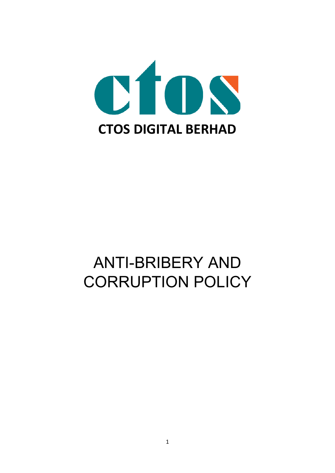

# ANTI-BRIBERY AND CORRUPTION POLICY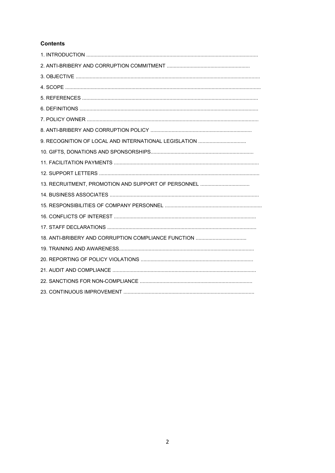# **Contents**

| 9. RECOGNITION OF LOCAL AND INTERNATIONAL LEGISLATION |
|-------------------------------------------------------|
|                                                       |
|                                                       |
|                                                       |
|                                                       |
|                                                       |
|                                                       |
|                                                       |
|                                                       |
|                                                       |
|                                                       |
|                                                       |
|                                                       |
|                                                       |
|                                                       |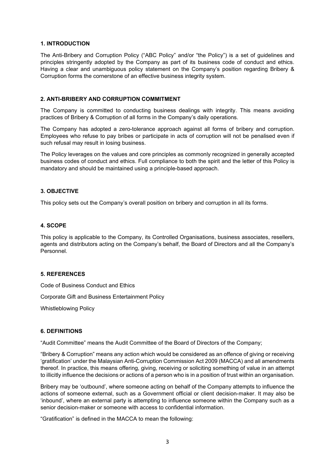#### **1. INTRODUCTION**

The Anti-Bribery and Corruption Policy ("ABC Policy" and/or "the Policy") is a set of guidelines and principles stringently adopted by the Company as part of its business code of conduct and ethics. Having a clear and unambiguous policy statement on the Company's position regarding Bribery & Corruption forms the cornerstone of an effective business integrity system.

#### **2. ANTI-BRIBERY AND CORRUPTION COMMITMENT**

The Company is committed to conducting business dealings with integrity. This means avoiding practices of Bribery & Corruption of all forms in the Company's daily operations.

The Company has adopted a zero-tolerance approach against all forms of bribery and corruption. Employees who refuse to pay bribes or participate in acts of corruption will not be penalised even if such refusal may result in losing business.

The Policy leverages on the values and core principles as commonly recognized in generally accepted business codes of conduct and ethics. Full compliance to both the spirit and the letter of this Policy is mandatory and should be maintained using a principle-based approach.

#### **3. OBJECTIVE**

This policy sets out the Company's overall position on bribery and corruption in all its forms.

#### **4. SCOPE**

This policy is applicable to the Company, its Controlled Organisations, business associates, resellers, agents and distributors acting on the Company's behalf, the Board of Directors and all the Company's Personnel.

#### **5. REFERENCES**

Code of Business Conduct and Ethics

Corporate Gift and Business Entertainment Policy

Whistleblowing Policy

#### **6. DEFINITIONS**

"Audit Committee" means the Audit Committee of the Board of Directors of the Company;

"Bribery & Corruption" means any action which would be considered as an offence of giving or receiving 'gratification' under the Malaysian Anti-Corruption Commission Act 2009 (MACCA) and all amendments thereof. In practice, this means offering, giving, receiving or soliciting something of value in an attempt to illicitly influence the decisions or actions of a person who is in a position of trust within an organisation.

Bribery may be 'outbound', where someone acting on behalf of the Company attempts to influence the actions of someone external, such as a Government official or client decision-maker. It may also be 'inbound', where an external party is attempting to influence someone within the Company such as a senior decision-maker or someone with access to confidential information.

"Gratification" is defined in the MACCA to mean the following: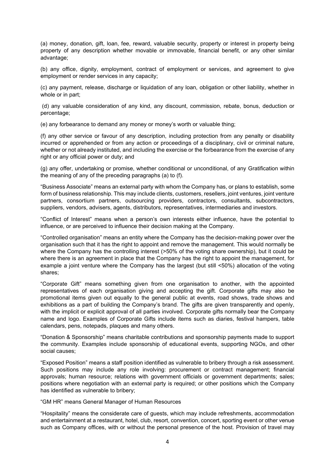(a) money, donation, gift, loan, fee, reward, valuable security, property or interest in property being property of any description whether movable or immovable, financial benefit, or any other similar advantage;

(b) any office, dignity, employment, contract of employment or services, and agreement to give employment or render services in any capacity;

(c) any payment, release, discharge or liquidation of any loan, obligation or other liability, whether in whole or in part;

(d) any valuable consideration of any kind, any discount, commission, rebate, bonus, deduction or percentage;

(e) any forbearance to demand any money or money's worth or valuable thing;

(f) any other service or favour of any description, including protection from any penalty or disability incurred or apprehended or from any action or proceedings of a disciplinary, civil or criminal nature, whether or not already instituted, and including the exercise or the forbearance from the exercise of any right or any official power or duty; and

(g) any offer, undertaking or promise, whether conditional or unconditional, of any Gratification within the meaning of any of the preceding paragraphs (a) to (f).

"Business Associate" means an external party with whom the Company has, or plans to establish, some form of business relationship. This may include clients, customers, resellers, joint ventures, joint venture partners, consortium partners, outsourcing providers, contractors, consultants, subcontractors, suppliers, vendors, advisers, agents, distributors, representatives, intermediaries and investors.

"Conflict of Interest" means when a person's own interests either influence, have the potential to influence, or are perceived to influence their decision making at the Company.

"Controlled organisation" means an entity where the Company has the decision-making power over the organisation such that it has the right to appoint and remove the management. This would normally be where the Company has the controlling interest (>50% of the voting share ownership), but it could be where there is an agreement in place that the Company has the right to appoint the management, for example a joint venture where the Company has the largest (but still <50%) allocation of the voting shares;

"Corporate Gift" means something given from one organisation to another, with the appointed representatives of each organisation giving and accepting the gift. Corporate gifts may also be promotional items given out equally to the general public at events, road shows, trade shows and exhibitions as a part of building the Company's brand. The gifts are given transparently and openly, with the implicit or explicit approval of all parties involved. Corporate gifts normally bear the Company name and logo. Examples of Corporate Gifts include items such as diaries, festival hampers, table calendars, pens, notepads, plaques and many others.

"Donation & Sponsorship" means charitable contributions and sponsorship payments made to support the community. Examples include sponsorship of educational events, supporting NGOs, and other social causes;

"Exposed Position" means a staff position identified as vulnerable to bribery through a risk assessment. Such positions may include any role involving: procurement or contract management; financial approvals; human resource; relations with government officials or government departments; sales; positions where negotiation with an external party is required; or other positions which the Company has identified as vulnerable to bribery;

"GM HR" means General Manager of Human Resources

"Hospitality" means the considerate care of guests, which may include refreshments, accommodation and entertainment at a restaurant, hotel, club, resort, convention, concert, sporting event or other venue such as Company offices, with or without the personal presence of the host. Provision of travel may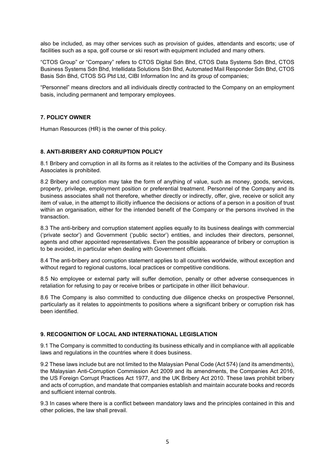also be included, as may other services such as provision of guides, attendants and escorts; use of facilities such as a spa, golf course or ski resort with equipment included and many others.

"CTOS Group" or "Company" refers to CTOS Digital Sdn Bhd, CTOS Data Systems Sdn Bhd, CTOS Business Systems Sdn Bhd, Intellidata Solutions Sdn Bhd, Automated Mail Responder Sdn Bhd, CTOS Basis Sdn Bhd, CTOS SG Ptd Ltd, CIBI Information Inc and its group of companies;

"Personnel" means directors and all individuals directly contracted to the Company on an employment basis, including permanent and temporary employees.

## **7. POLICY OWNER**

Human Resources (HR) is the owner of this policy.

## **8. ANTI-BRIBERY AND CORRUPTION POLICY**

8.1 Bribery and corruption in all its forms as it relates to the activities of the Company and its Business Associates is prohibited.

8.2 Bribery and corruption may take the form of anything of value, such as money, goods, services, property, privilege, employment position or preferential treatment. Personnel of the Company and its business associates shall not therefore, whether directly or indirectly, offer, give, receive or solicit any item of value, in the attempt to illicitly influence the decisions or actions of a person in a position of trust within an organisation, either for the intended benefit of the Company or the persons involved in the transaction.

8.3 The anti-bribery and corruption statement applies equally to its business dealings with commercial ('private sector') and Government ('public sector') entities, and includes their directors, personnel, agents and other appointed representatives. Even the possible appearance of bribery or corruption is to be avoided, in particular when dealing with Government officials.

8.4 The anti-bribery and corruption statement applies to all countries worldwide, without exception and without regard to regional customs, local practices or competitive conditions.

8.5 No employee or external party will suffer demotion, penalty or other adverse consequences in retaliation for refusing to pay or receive bribes or participate in other illicit behaviour.

8.6 The Company is also committed to conducting due diligence checks on prospective Personnel, particularly as it relates to appointments to positions where a significant bribery or corruption risk has been identified.

## **9. RECOGNITION OF LOCAL AND INTERNATIONAL LEGISLATION**

9.1 The Company is committed to conducting its business ethically and in compliance with all applicable laws and regulations in the countries where it does business.

9.2 These laws include but are not limited to the Malaysian Penal Code (Act 574) (and its amendments), the Malaysian Anti-Corruption Commission Act 2009 and its amendments, the Companies Act 2016, the US Foreign Corrupt Practices Act 1977, and the UK Bribery Act 2010. These laws prohibit bribery and acts of corruption, and mandate that companies establish and maintain accurate books and records and sufficient internal controls.

9.3 In cases where there is a conflict between mandatory laws and the principles contained in this and other policies, the law shall prevail.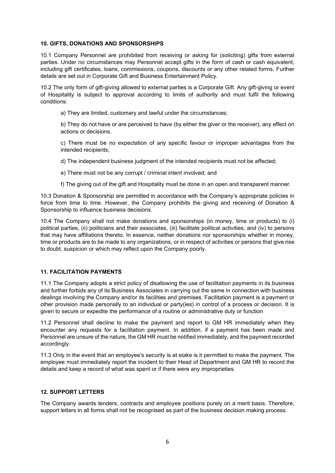#### **10. GIFTS, DONATIONS AND SPONSORSHIPS**

10.1 Company Personnel are prohibited from receiving or asking for (soliciting) gifts from external parties. Under no circumstances may Personnel accept gifts in the form of cash or cash equivalent, including gift certificates, loans, commissions, coupons, discounts or any other related forms. Further details are set out in Corporate Gift and Business Entertainment Policy.

10.2 The only form of gift-giving allowed to external parties is a Corporate Gift. Any gift-giving or event of Hospitality is subject to approval according to limits of authority and must fulfil the following conditions:

a) They are limited, customary and lawful under the circumstances;

b) They do not have or are perceived to have (by either the giver or the receiver), any effect on actions or decisions.

c) There must be no expectation of any specific favour or improper advantages from the intended recipients;

d) The independent business judgment of the intended recipients must not be affected;

e) There must not be any corrupt / criminal intent involved; and

f) The giving out of the gift and Hospitality must be done in an open and transparent manner.

10.3 Donation & Sponsorship are permitted in accordance with the Company's appropriate policies in force from time to time. However, the Company prohibits the giving and receiving of Donation & Sponsorship to influence business decisions.

10.4 The Company shall not make donations and sponsorships (in money, time or products) to (i) political parties, (ii) politicians and their associates, (iii) facilitate political activities, and (iv) to persons that may have affiliations thereto. In essence, neither donations nor sponsorships whether in money, time or products are to be made to any organizations, or in respect of activities or persons that give rise to doubt, suspicion or which may reflect upon the Company poorly.

## **11. FACILITATION PAYMENTS**

11.1 The Company adopts a strict policy of disallowing the use of facilitation payments in its business and further forbids any of its Business Associates in carrying out the same in connection with business dealings involving the Company and/or its facilities and premises. Facilitation payment is a payment or other provision made personally to an individual or party(ies) in control of a process or decision. It is given to secure or expedite the performance of a routine or administrative duty or function

11.2 Personnel shall decline to make the payment and report to GM HR immediately when they encounter any requests for a facilitation payment. In addition, if a payment has been made and Personnel are unsure of the nature, the GM HR must be notified immediately, and the payment recorded accordingly.

11.3 Only in the event that an employee's security is at stake is it permitted to make the payment. The employee must immediately report the incident to their Head of Department and GM HR to record the details and keep a record of what was spent or if there were any improprieties.

## **12. SUPPORT LETTERS**

The Company awards tenders, contracts and employee positions purely on a merit basis. Therefore, support letters in all forms shall not be recognised as part of the business decision making process.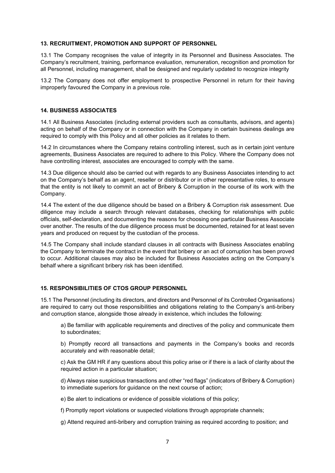#### **13. RECRUITMENT, PROMOTION AND SUPPORT OF PERSONNEL**

13.1 The Company recognises the value of integrity in its Personnel and Business Associates. The Company's recruitment, training, performance evaluation, remuneration, recognition and promotion for all Personnel, including management, shall be designed and regularly updated to recognize integrity

13.2 The Company does not offer employment to prospective Personnel in return for their having improperly favoured the Company in a previous role.

#### **14. BUSINESS ASSOCIATES**

14.1 All Business Associates (including external providers such as consultants, advisors, and agents) acting on behalf of the Company or in connection with the Company in certain business dealings are required to comply with this Policy and all other policies as it relates to them.

14.2 In circumstances where the Company retains controlling interest, such as in certain joint venture agreements, Business Associates are required to adhere to this Policy. Where the Company does not have controlling interest, associates are encouraged to comply with the same.

14.3 Due diligence should also be carried out with regards to any Business Associates intending to act on the Company's behalf as an agent, reseller or distributor or in other representative roles, to ensure that the entity is not likely to commit an act of Bribery & Corruption in the course of its work with the Company.

14.4 The extent of the due diligence should be based on a Bribery & Corruption risk assessment. Due diligence may include a search through relevant databases, checking for relationships with public officials, self-declaration, and documenting the reasons for choosing one particular Business Associate over another. The results of the due diligence process must be documented, retained for at least seven years and produced on request by the custodian of the process.

14.5 The Company shall include standard clauses in all contracts with Business Associates enabling the Company to terminate the contract in the event that bribery or an act of corruption has been proved to occur. Additional clauses may also be included for Business Associates acting on the Company's behalf where a significant bribery risk has been identified.

## **15. RESPONSIBILITIES OF CTOS GROUP PERSONNEL**

15.1 The Personnel (including its directors, and directors and Personnel of its Controlled Organisations) are required to carry out those responsibilities and obligations relating to the Company's anti-bribery and corruption stance, alongside those already in existence, which includes the following:

a) Be familiar with applicable requirements and directives of the policy and communicate them to subordinates;

b) Promptly record all transactions and payments in the Company's books and records accurately and with reasonable detail;

c) Ask the GM HR if any questions about this policy arise or if there is a lack of clarity about the required action in a particular situation;

d) Always raise suspicious transactions and other "red flags" (indicators of Bribery & Corruption) to immediate superiors for guidance on the next course of action;

e) Be alert to indications or evidence of possible violations of this policy;

f) Promptly report violations or suspected violations through appropriate channels;

g) Attend required anti-bribery and corruption training as required according to position; and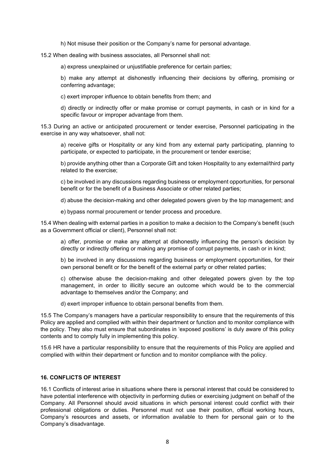h) Not misuse their position or the Company's name for personal advantage.

15.2 When dealing with business associates, all Personnel shall not:

a) express unexplained or unjustifiable preference for certain parties;

b) make any attempt at dishonestly influencing their decisions by offering, promising or conferring advantage;

c) exert improper influence to obtain benefits from them; and

d) directly or indirectly offer or make promise or corrupt payments, in cash or in kind for a specific favour or improper advantage from them.

15.3 During an active or anticipated procurement or tender exercise, Personnel participating in the exercise in any way whatsoever, shall not:

a) receive gifts or Hospitality or any kind from any external party participating, planning to participate, or expected to participate, in the procurement or tender exercise;

b) provide anything other than a Corporate Gift and token Hospitality to any external/third party related to the exercise;

c) be involved in any discussions regarding business or employment opportunities, for personal benefit or for the benefit of a Business Associate or other related parties;

d) abuse the decision-making and other delegated powers given by the top management; and

e) bypass normal procurement or tender process and procedure.

15.4 When dealing with external parties in a position to make a decision to the Company's benefit (such as a Government official or client), Personnel shall not:

a) offer, promise or make any attempt at dishonestly influencing the person's decision by directly or indirectly offering or making any promise of corrupt payments, in cash or in kind;

b) be involved in any discussions regarding business or employment opportunities, for their own personal benefit or for the benefit of the external party or other related parties;

c) otherwise abuse the decision-making and other delegated powers given by the top management, in order to illicitly secure an outcome which would be to the commercial advantage to themselves and/or the Company; and

d) exert improper influence to obtain personal benefits from them.

15.5 The Company's managers have a particular responsibility to ensure that the requirements of this Policy are applied and complied with within their department or function and to monitor compliance with the policy. They also must ensure that subordinates in 'exposed positions' is duly aware of this policy contents and to comply fully in implementing this policy.

15.6 HR have a particular responsibility to ensure that the requirements of this Policy are applied and complied with within their department or function and to monitor compliance with the policy.

#### **16. CONFLICTS OF INTEREST**

16.1 Conflicts of interest arise in situations where there is personal interest that could be considered to have potential interference with objectivity in performing duties or exercising judgment on behalf of the Company. All Personnel should avoid situations in which personal interest could conflict with their professional obligations or duties. Personnel must not use their position, official working hours, Company's resources and assets, or information available to them for personal gain or to the Company's disadvantage.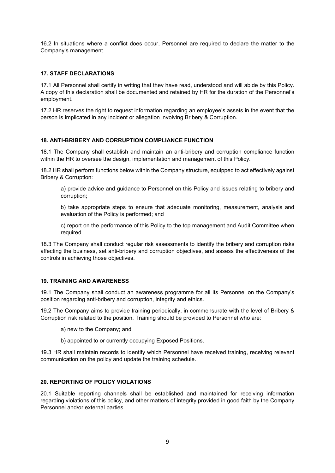16.2 In situations where a conflict does occur, Personnel are required to declare the matter to the Company's management.

## **17. STAFF DECLARATIONS**

17.1 All Personnel shall certify in writing that they have read, understood and will abide by this Policy. A copy of this declaration shall be documented and retained by HR for the duration of the Personnel's employment.

17.2 HR reserves the right to request information regarding an employee's assets in the event that the person is implicated in any incident or allegation involving Bribery & Corruption.

## **18. ANTI-BRIBERY AND CORRUPTION COMPLIANCE FUNCTION**

18.1 The Company shall establish and maintain an anti-bribery and corruption compliance function within the HR to oversee the design, implementation and management of this Policy.

18.2 HR shall perform functions below within the Company structure, equipped to act effectively against Bribery & Corruption:

a) provide advice and guidance to Personnel on this Policy and issues relating to bribery and corruption;

b) take appropriate steps to ensure that adequate monitoring, measurement, analysis and evaluation of the Policy is performed; and

c) report on the performance of this Policy to the top management and Audit Committee when required.

18.3 The Company shall conduct regular risk assessments to identify the bribery and corruption risks affecting the business, set anti-bribery and corruption objectives, and assess the effectiveness of the controls in achieving those objectives.

## **19. TRAINING AND AWARENESS**

19.1 The Company shall conduct an awareness programme for all its Personnel on the Company's position regarding anti-bribery and corruption, integrity and ethics.

19.2 The Company aims to provide training periodically, in commensurate with the level of Bribery & Corruption risk related to the position. Training should be provided to Personnel who are:

- a) new to the Company; and
- b) appointed to or currently occupying Exposed Positions.

19.3 HR shall maintain records to identify which Personnel have received training, receiving relevant communication on the policy and update the training schedule.

## **20. REPORTING OF POLICY VIOLATIONS**

20.1 Suitable reporting channels shall be established and maintained for receiving information regarding violations of this policy, and other matters of integrity provided in good faith by the Company Personnel and/or external parties.